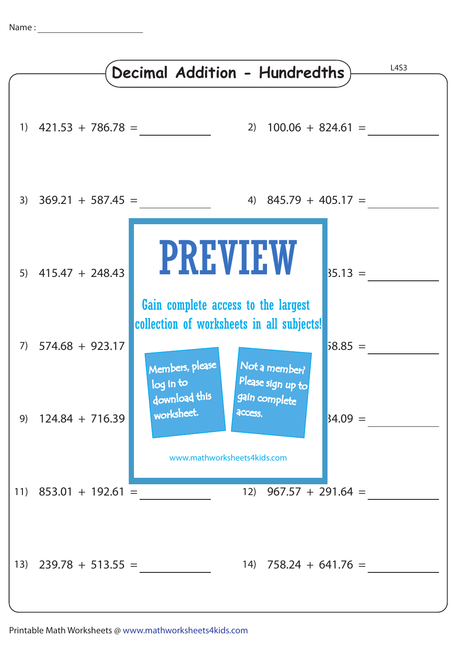